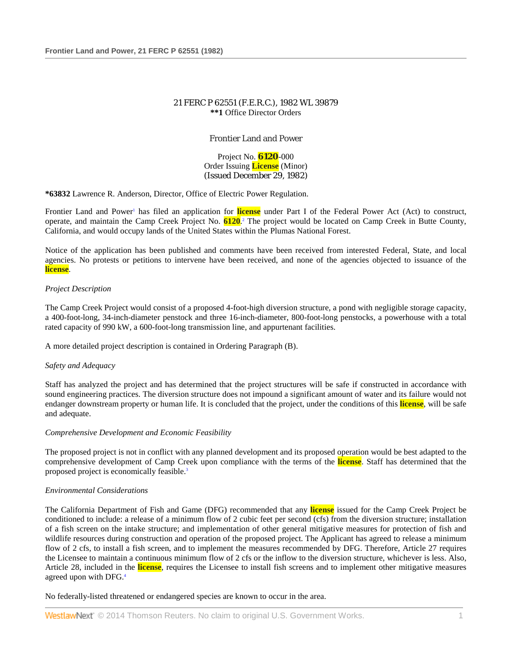# 21 FERC P 62551 (F.E.R.C.), 1982 WL 39879 **\*\*1** Office Director Orders

# Frontier Land and Power

Project No. **6120**-000 Order Issuing **License** (Minor) (Issued December 29, 1982)

**\*63832** Lawrence R. Anderson, Director, Office of Electric Power Regulation.

Frontier Land and Power<sup>1</sup> has filed an application for license under Part I of the Federal Power Act (Act) to construct, operate, and maintain the Camp Creek Project No. **6120**. <sup>2</sup> The project would be located on Camp Creek in Butte County, California, and would occupy lands of the United States within the Plumas National Forest.

Notice of the application has been published and comments have been received from interested Federal, State, and local agencies. No protests or petitions to intervene have been received, and none of the agencies objected to issuance of the **license**.

## *Project Description*

The Camp Creek Project would consist of a proposed 4-foot-high diversion structure, a pond with negligible storage capacity, a 400-foot-long, 34-inch-diameter penstock and three 16-inch-diameter, 800-foot-long penstocks, a powerhouse with a total rated capacity of 990 kW, a 600-foot-long transmission line, and appurtenant facilities.

A more detailed project description is contained in Ordering Paragraph (B).

# *Safety and Adequacy*

Staff has analyzed the project and has determined that the project structures will be safe if constructed in accordance with sound engineering practices. The diversion structure does not impound a significant amount of water and its failure would not endanger downstream property or human life. It is concluded that the project, under the conditions of this **license**, will be safe and adequate.

## *Comprehensive Development and Economic Feasibility*

The proposed project is not in conflict with any planned development and its proposed operation would be best adapted to the comprehensive development of Camp Creek upon compliance with the terms of the **license**. Staff has determined that the proposed project is economically feasible.3

## *Environmental Considerations*

The California Department of Fish and Game (DFG) recommended that any **license** issued for the Camp Creek Project be conditioned to include: a release of a minimum flow of 2 cubic feet per second (cfs) from the diversion structure; installation of a fish screen on the intake structure; and implementation of other general mitigative measures for protection of fish and wildlife resources during construction and operation of the proposed project. The Applicant has agreed to release a minimum flow of 2 cfs, to install a fish screen, and to implement the measures recommended by DFG. Therefore, Article 27 requires the Licensee to maintain a continuous minimum flow of 2 cfs or the inflow to the diversion structure, whichever is less. Also, Article 28, included in the **license**, requires the Licensee to install fish screens and to implement other mitigative measures agreed upon with DFG.4

No federally-listed threatened or endangered species are known to occur in the area.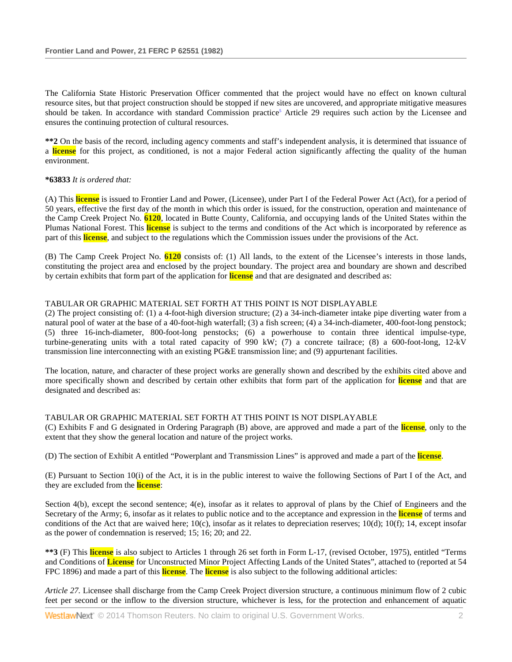The California State Historic Preservation Officer commented that the project would have no effect on known cultural resource sites, but that project construction should be stopped if new sites are uncovered, and appropriate mitigative measures should be taken. In accordance with standard Commission practice<sup>5</sup> Article 29 requires such action by the Licensee and ensures the continuing protection of cultural resources.

**\*\*2** On the basis of the record, including agency comments and staff's independent analysis, it is determined that issuance of a **license** for this project, as conditioned, is not a major Federal action significantly affecting the quality of the human environment.

## **\*63833** *It is ordered that:*

(A) This **license** is issued to Frontier Land and Power, (Licensee), under Part I of the Federal Power Act (Act), for a period of 50 years, effective the first day of the month in which this order is issued, for the construction, operation and maintenance of the Camp Creek Project No. **6120**, located in Butte County, California, and occupying lands of the United States within the Plumas National Forest. This **license** is subject to the terms and conditions of the Act which is incorporated by reference as part of this **license**, and subject to the regulations which the Commission issues under the provisions of the Act.

(B) The Camp Creek Project No. **6120** consists of: (1) All lands, to the extent of the Licensee's interests in those lands, constituting the project area and enclosed by the project boundary. The project area and boundary are shown and described by certain exhibits that form part of the application for **license** and that are designated and described as:

# TABULAR OR GRAPHIC MATERIAL SET FORTH AT THIS POINT IS NOT DISPLAYABLE

(2) The project consisting of: (1) a 4-foot-high diversion structure; (2) a 34-inch-diameter intake pipe diverting water from a natural pool of water at the base of a 40-foot-high waterfall; (3) a fish screen; (4) a 34-inch-diameter, 400-foot-long penstock; (5) three 16-inch-diameter, 800-foot-long penstocks; (6) a powerhouse to contain three identical impulse-type, turbine-generating units with a total rated capacity of 990 kW; (7) a concrete tailrace; (8) a 600-foot-long, 12-kV transmission line interconnecting with an existing PG&E transmission line; and (9) appurtenant facilities.

The location, nature, and character of these project works are generally shown and described by the exhibits cited above and more specifically shown and described by certain other exhibits that form part of the application for **license** and that are designated and described as:

## TABULAR OR GRAPHIC MATERIAL SET FORTH AT THIS POINT IS NOT DISPLAYABLE

(C) Exhibits F and G designated in Ordering Paragraph (B) above, are approved and made a part of the **license**, only to the extent that they show the general location and nature of the project works.

(D) The section of Exhibit A entitled "Powerplant and Transmission Lines" is approved and made a part of the **license**.

(E) Pursuant to Section 10(i) of the Act, it is in the public interest to waive the following Sections of Part I of the Act, and they are excluded from the **license**:

Section  $4(b)$ , except the second sentence;  $4(e)$ , insofar as it relates to approval of plans by the Chief of Engineers and the Secretary of the Army; 6, insofar as it relates to public notice and to the acceptance and expression in the **license** of terms and conditions of the Act that are waived here;  $10(c)$ , insofar as it relates to depreciation reserves;  $10(d)$ ;  $10(f)$ ;  $14$ , except insofar as the power of condemnation is reserved; 15; 16; 20; and 22.

**\*\*3** (F) This **license** is also subject to Articles 1 through 26 set forth in Form L-17, (revised October, 1975), entitled "Terms and Conditions of **License** for Unconstructed Minor Project Affecting Lands of the United States", attached to (reported at 54 FPC 1896) and made a part of this **license**. The **license** is also subject to the following additional articles:

*Article 27.* Licensee shall discharge from the Camp Creek Project diversion structure, a continuous minimum flow of 2 cubic feet per second or the inflow to the diversion structure, whichever is less, for the protection and enhancement of aquatic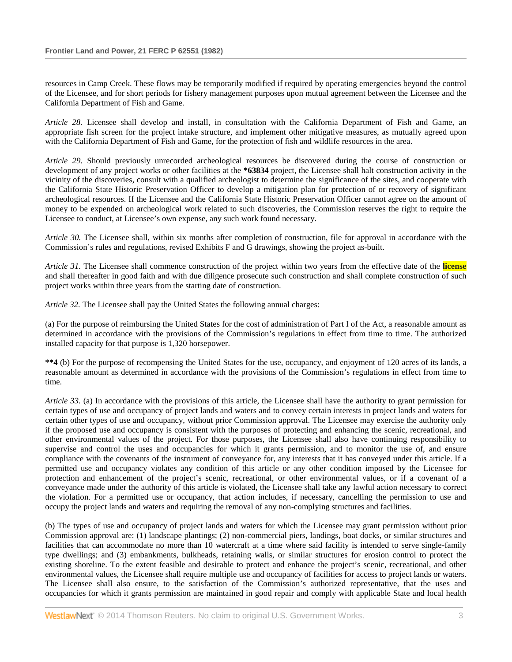resources in Camp Creek. These flows may be temporarily modified if required by operating emergencies beyond the control of the Licensee, and for short periods for fishery management purposes upon mutual agreement between the Licensee and the California Department of Fish and Game.

*Article 28.* Licensee shall develop and install, in consultation with the California Department of Fish and Game, an appropriate fish screen for the project intake structure, and implement other mitigative measures, as mutually agreed upon with the California Department of Fish and Game, for the protection of fish and wildlife resources in the area.

*Article 29.* Should previously unrecorded archeological resources be discovered during the course of construction or development of any project works or other facilities at the **\*63834** project, the Licensee shall halt construction activity in the vicinity of the discoveries, consult with a qualified archeologist to determine the significance of the sites, and cooperate with the California State Historic Preservation Officer to develop a mitigation plan for protection of or recovery of significant archeological resources. If the Licensee and the California State Historic Preservation Officer cannot agree on the amount of money to be expended on archeological work related to such discoveries, the Commission reserves the right to require the Licensee to conduct, at Licensee's own expense, any such work found necessary.

*Article 30.* The Licensee shall, within six months after completion of construction, file for approval in accordance with the Commission's rules and regulations, revised Exhibits F and G drawings, showing the project as-built.

*Article 31.* The Licensee shall commence construction of the project within two years from the effective date of the **license** and shall thereafter in good faith and with due diligence prosecute such construction and shall complete construction of such project works within three years from the starting date of construction.

*Article 32.* The Licensee shall pay the United States the following annual charges:

(a) For the purpose of reimbursing the United States for the cost of administration of Part I of the Act, a reasonable amount as determined in accordance with the provisions of the Commission's regulations in effect from time to time. The authorized installed capacity for that purpose is 1,320 horsepower.

**\*\*4** (b) For the purpose of recompensing the United States for the use, occupancy, and enjoyment of 120 acres of its lands, a reasonable amount as determined in accordance with the provisions of the Commission's regulations in effect from time to time.

*Article 33.* (a) In accordance with the provisions of this article, the Licensee shall have the authority to grant permission for certain types of use and occupancy of project lands and waters and to convey certain interests in project lands and waters for certain other types of use and occupancy, without prior Commission approval. The Licensee may exercise the authority only if the proposed use and occupancy is consistent with the purposes of protecting and enhancing the scenic, recreational, and other environmental values of the project. For those purposes, the Licensee shall also have continuing responsibility to supervise and control the uses and occupancies for which it grants permission, and to monitor the use of, and ensure compliance with the covenants of the instrument of conveyance for, any interests that it has conveyed under this article. If a permitted use and occupancy violates any condition of this article or any other condition imposed by the Licensee for protection and enhancement of the project's scenic, recreational, or other environmental values, or if a covenant of a conveyance made under the authority of this article is violated, the Licensee shall take any lawful action necessary to correct the violation. For a permitted use or occupancy, that action includes, if necessary, cancelling the permission to use and occupy the project lands and waters and requiring the removal of any non-complying structures and facilities.

(b) The types of use and occupancy of project lands and waters for which the Licensee may grant permission without prior Commission approval are: (1) landscape plantings; (2) non-commercial piers, landings, boat docks, or similar structures and facilities that can accommodate no more than 10 watercraft at a time where said facility is intended to serve single-family type dwellings; and (3) embankments, bulkheads, retaining walls, or similar structures for erosion control to protect the existing shoreline. To the extent feasible and desirable to protect and enhance the project's scenic, recreational, and other environmental values, the Licensee shall require multiple use and occupancy of facilities for access to project lands or waters. The Licensee shall also ensure, to the satisfaction of the Commission's authorized representative, that the uses and occupancies for which it grants permission are maintained in good repair and comply with applicable State and local health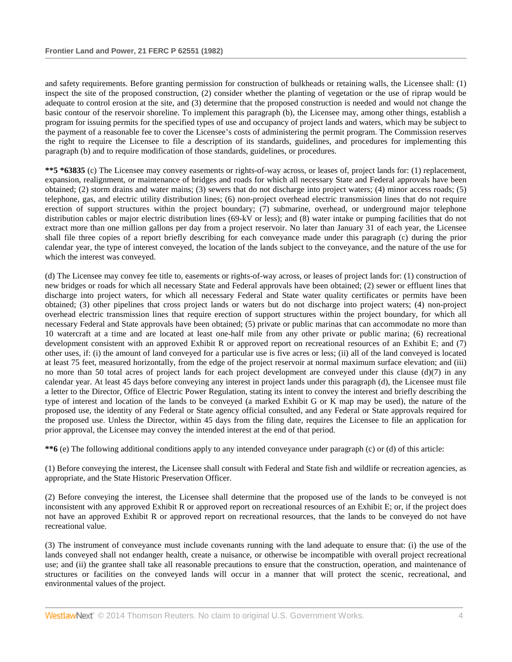and safety requirements. Before granting permission for construction of bulkheads or retaining walls, the Licensee shall: (1) inspect the site of the proposed construction, (2) consider whether the planting of vegetation or the use of riprap would be adequate to control erosion at the site, and (3) determine that the proposed construction is needed and would not change the basic contour of the reservoir shoreline. To implement this paragraph (b), the Licensee may, among other things, establish a program for issuing permits for the specified types of use and occupancy of project lands and waters, which may be subject to the payment of a reasonable fee to cover the Licensee's costs of administering the permit program. The Commission reserves the right to require the Licensee to file a description of its standards, guidelines, and procedures for implementing this paragraph (b) and to require modification of those standards, guidelines, or procedures.

**\*\*5 \*63835** (c) The Licensee may convey easements or rights-of-way across, or leases of, project lands for: (1) replacement, expansion, realignment, or maintenance of bridges and roads for which all necessary State and Federal approvals have been obtained; (2) storm drains and water mains; (3) sewers that do not discharge into project waters; (4) minor access roads; (5) telephone, gas, and electric utility distribution lines; (6) non-project overhead electric transmission lines that do not require erection of support structures within the project boundary; (7) submarine, overhead, or underground major telephone distribution cables or major electric distribution lines (69-kV or less); and (8) water intake or pumping facilities that do not extract more than one million gallons per day from a project reservoir. No later than January 31 of each year, the Licensee shall file three copies of a report briefly describing for each conveyance made under this paragraph (c) during the prior calendar year, the type of interest conveyed, the location of the lands subject to the conveyance, and the nature of the use for which the interest was conveyed.

(d) The Licensee may convey fee title to, easements or rights-of-way across, or leases of project lands for: (1) construction of new bridges or roads for which all necessary State and Federal approvals have been obtained; (2) sewer or effluent lines that discharge into project waters, for which all necessary Federal and State water quality certificates or permits have been obtained; (3) other pipelines that cross project lands or waters but do not discharge into project waters; (4) non-project overhead electric transmission lines that require erection of support structures within the project boundary, for which all necessary Federal and State approvals have been obtained; (5) private or public marinas that can accommodate no more than 10 watercraft at a time and are located at least one-half mile from any other private or public marina; (6) recreational development consistent with an approved Exhibit R or approved report on recreational resources of an Exhibit E; and (7) other uses, if: (i) the amount of land conveyed for a particular use is five acres or less; (ii) all of the land conveyed is located at least 75 feet, measured horizontally, from the edge of the project reservoir at normal maximum surface elevation; and (iii) no more than 50 total acres of project lands for each project development are conveyed under this clause  $(d)(7)$  in any calendar year. At least 45 days before conveying any interest in project lands under this paragraph (d), the Licensee must file a letter to the Director, Office of Electric Power Regulation, stating its intent to convey the interest and briefly describing the type of interest and location of the lands to be conveyed (a marked Exhibit G or K map may be used), the nature of the proposed use, the identity of any Federal or State agency official consulted, and any Federal or State approvals required for the proposed use. Unless the Director, within 45 days from the filing date, requires the Licensee to file an application for prior approval, the Licensee may convey the intended interest at the end of that period.

**\*\*6** (e) The following additional conditions apply to any intended conveyance under paragraph (c) or (d) of this article:

(1) Before conveying the interest, the Licensee shall consult with Federal and State fish and wildlife or recreation agencies, as appropriate, and the State Historic Preservation Officer.

(2) Before conveying the interest, the Licensee shall determine that the proposed use of the lands to be conveyed is not inconsistent with any approved Exhibit R or approved report on recreational resources of an Exhibit E; or, if the project does not have an approved Exhibit R or approved report on recreational resources, that the lands to be conveyed do not have recreational value.

(3) The instrument of conveyance must include covenants running with the land adequate to ensure that: (i) the use of the lands conveyed shall not endanger health, create a nuisance, or otherwise be incompatible with overall project recreational use; and (ii) the grantee shall take all reasonable precautions to ensure that the construction, operation, and maintenance of structures or facilities on the conveyed lands will occur in a manner that will protect the scenic, recreational, and environmental values of the project.